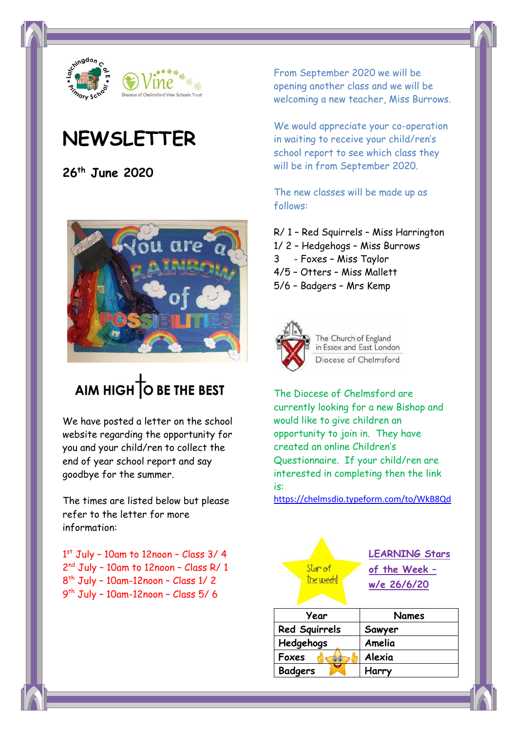

## **NEWSLETTER**

**26th June 2020**



# AIM HIGH TO BE THE BEST

We have posted a letter on the school website regarding the opportunity for you and your child/ren to collect the end of year school report and say goodbye for the summer.

The times are listed below but please refer to the letter for more information:

 st July – 10am to 12noon – Class 3/ 4 2<sup>nd</sup> July - 10am to 12noon - Class R/ 1 th July – 10am-12noon – Class 1/ 2 th July – 10am-12noon – Class 5/ 6

From September 2020 we will be opening another class and we will be welcoming a new teacher, Miss Burrows.

We would appreciate your co-operation in waiting to receive your child/ren's school report to see which class they will be in from September 2020.

The new classes will be made up as follows:

- R/ 1 Red Squirrels Miss Harrington
- 1/ 2 Hedgehogs Miss Burrows
- 3 Foxes Miss Taylor
- 4/5 Otters Miss Mallett
- 5/6 Badgers Mrs Kemp



The Church of England in Essex and East London Diocese of Chelmsford

The Diocese of Chelmsford are currently looking for a new Bishop and would like to give children an opportunity to join in. They have created an online Children's Questionnaire. If your child/ren are interested in completing then the link is:

[https://chelmsdio.typeform.com/to/WkB8Qd](https://eur03.safelinks.protection.outlook.com/?url=https%3A%2F%2Fchelmsdio.typeform.com%2Fto%2FWkB8Qd&data=02%7C01%7Cyolandewarr%40latchingdon.essex.sch.uk%7Ca0c36dd86a654c96b81008d81445342a%7Cd160e41ec6bd4e4f9f3b06088edf7587%7C0%7C0%7C637281634744436747&sdata=ZLNyRR0tfnJNidfEBOpFbQkh90tra%2B4a3khzZ%2BmgS8Q%3D&reserved=0)

| Star of<br>the week! | <b>LEARNING Stars</b><br>of the Week -<br>w/e 26/6/20 |
|----------------------|-------------------------------------------------------|
| Year                 | <b>Names</b>                                          |
| <b>Red Squirrels</b> | Sawyer                                                |
| Hedgehogs            | Amelia                                                |
| Foxes<br>66          | Alexia                                                |
| <b>Badgers</b>       | Harry                                                 |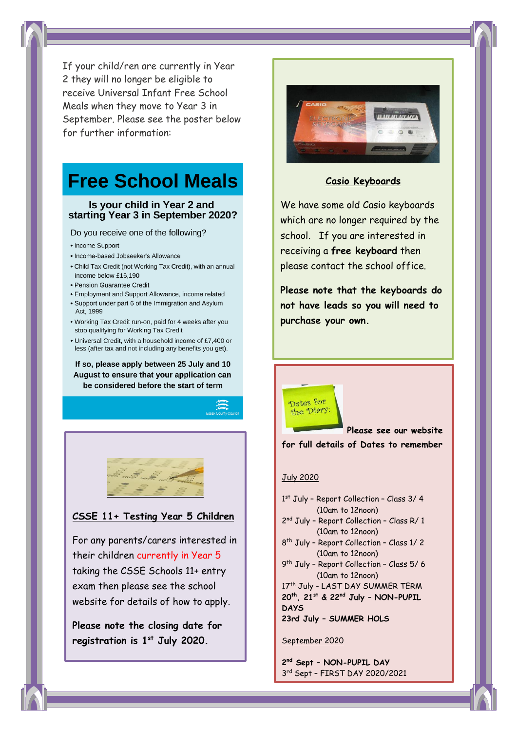If your child/ren are currently in Year 2 they will no longer be eligible to receive Universal Infant Free School Meals when they move to Year 3 in September. Please see the poster below for further information:

## **Free School Meals**

#### Is your child in Year 2 and starting Year 3 in September 2020?

Do you receive one of the following?

- Income Support
- · Income-based Jobseeker's Allowance
- . Child Tax Credit (not Working Tax Credit), with an annual income below £16,190
- Pension Guarantee Credit
- Employment and Support Allowance, income related
- Support under part 6 of the Immigration and Asylum Act, 1999
- . Working Tax Credit run-on, paid for 4 weeks after you stop qualifying for Working Tax Credit
- Universal Credit, with a household income of £7,400 or less (after tax and not including any benefits you get).

If so, please apply between 25 July and 10 August to ensure that your application can be considered before the start of term



## **CSSE 11+ Testing Year 5 Children**

For any parents/carers interested in their children currently in Year 5 taking the CSSE Schools 11+ entry exam then please see the school website for details of how to apply.

**Please note the closing date for registration is 1st July 2020.**



## **Casio Keyboards**

We have some old Casio keyboards which are no longer required by the school. If you are interested in receiving a **free keyboard** then please contact the school office.

**Please note that the keyboards do not have leads so you will need to purchase your own.**

**Please see our website for full details of Dates to remember**

### July 2020

Dates for the Diary

- 1 st July Report Collection Class 3/ 4 (10am to 12noon)
- 2<sup>nd</sup> July Report Collection Class R/ 1 (10am to 12noon)
- 8 th July Report Collection Class 1/ 2 (10am to 12noon)
- 9 th July Report Collection Class 5/ 6 (10am to 12noon)

17<sup>th</sup> July - LAST DAY SUMMER TERM **20th, 21st & 22nd July – NON-PUPIL DAYS 23rd July – SUMMER HOLS**

September 2020

**2 nd Sept – NON-PUPIL DAY** 3 rd Sept – FIRST DAY 2020/2021

ACADEMIC YEAR